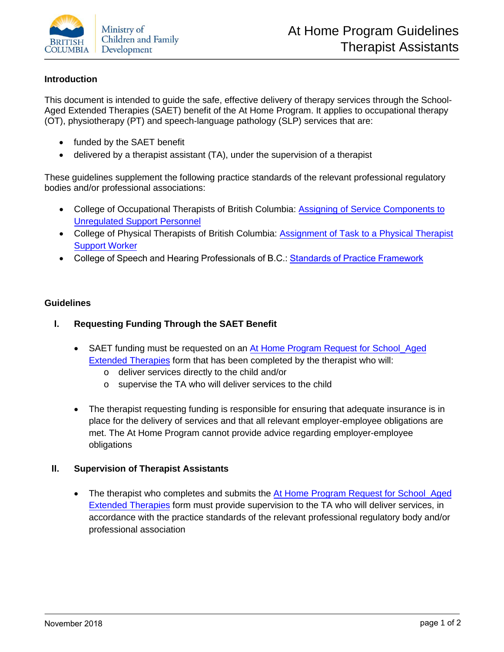

## **Introduction**

This document is intended to guide the safe, effective delivery of therapy services through the School-Aged Extended Therapies (SAET) benefit of the At Home Program. It applies to occupational therapy (OT), physiotherapy (PT) and speech-language pathology (SLP) services that are:

- funded by the SAET benefit
- delivered by a therapist assistant (TA), under the supervision of a therapist

These guidelines supplement the following practice standards of the relevant professional regulatory bodies and/or professional associations:

- College of Occupational Therapists of British Columbia: Assigning of [Service Components](https://cotbc.org/wp-content/uploads/COTBC_Practice-Guideline_Supervision2011_2.pdf) to [Unregulated Support](https://cotbc.org/wp-content/uploads/COTBC_Practice-Guideline_Supervision2011_2.pdf) Personnel
- College of Physical Therapists of British Columbia: Assignment of Task to [a Physical Therapist](http://www.cptbc.org/pdf/PracticeStandards/PracticeStandards3.pdf) [Support](http://www.cptbc.org/pdf/PracticeStandards/PracticeStandards3.pdf) Worker
- College of Speech and Hearing Professionals of B.C.: Standards of Practice [Framework](http://www.cshhpbc.org/docs/standards_of_practice_framework_(core-01).pdf)

### **Guidelines**

### **I. Requesting Funding Through the SAET Benefit**

- SAET funding must be requested on an [At Home Program Request](https://www2.gov.bc.ca/assets/gov/family-and-social-supports/children-teens-with-special-needs/request_school_aged_extended_therapies.pdf) for School\_Aged [Extended Therapies](https://www2.gov.bc.ca/assets/gov/family-and-social-supports/children-teens-with-special-needs/request_school_aged_extended_therapies.pdf) form that has been completed by the therapist who will:
	- o deliver services directly to the child and/or
	- o supervise the TA who will deliver services to the child
- The therapist requesting funding is responsible for ensuring that adequate insurance is in place for the delivery of services and that all relevant employer-employee obligations are met. The At Home Program cannot provide advice regarding employer-employee obligations

### **II. Supervision of Therapist Assistants**

• The therapist who completes and submits the At [Home Program Request](https://www2.gov.bc.ca/assets/gov/family-and-social-supports/children-teens-with-special-needs/request_school_aged_extended_therapies.pdf) for School Aged [Extended Therapies](https://www2.gov.bc.ca/assets/gov/family-and-social-supports/children-teens-with-special-needs/request_school_aged_extended_therapies.pdf) form must provide supervision to the TA who will deliver services, in accordance with the practice standards of the relevant professional regulatory body and/or professional association